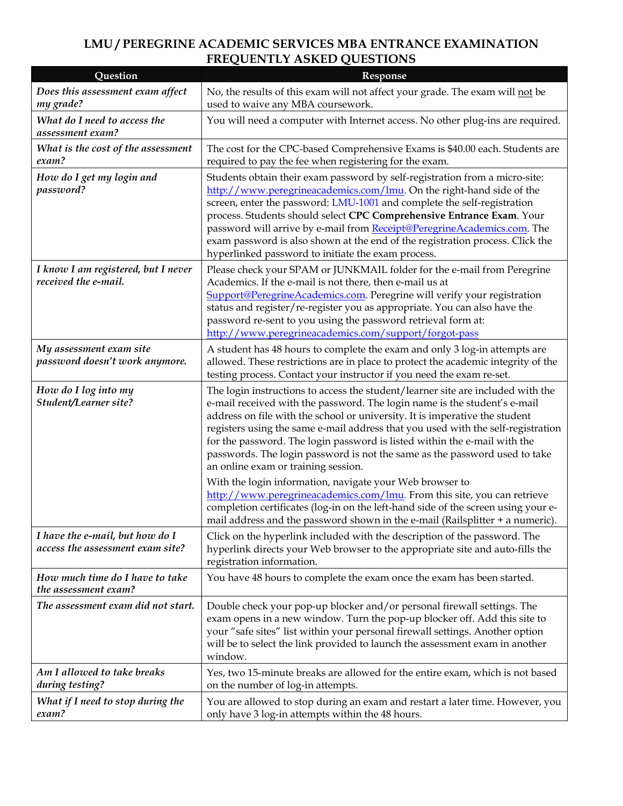## **LMU / PEREGRINE ACADEMIC SERVICES MBA ENTRANCE EXAMINATION FREQUENTLY ASKED QUESTIONS**

| Question                                                            | Response                                                                                                                                                                                                                                                                                                                                                                                                                                                                                                                                                                                                                                                                                                                                                                                                                                       |
|---------------------------------------------------------------------|------------------------------------------------------------------------------------------------------------------------------------------------------------------------------------------------------------------------------------------------------------------------------------------------------------------------------------------------------------------------------------------------------------------------------------------------------------------------------------------------------------------------------------------------------------------------------------------------------------------------------------------------------------------------------------------------------------------------------------------------------------------------------------------------------------------------------------------------|
| Does this assessment exam affect<br>my grade?                       | No, the results of this exam will not affect your grade. The exam will not be<br>used to waive any MBA coursework.                                                                                                                                                                                                                                                                                                                                                                                                                                                                                                                                                                                                                                                                                                                             |
| What do I need to access the<br>assessment exam?                    | You will need a computer with Internet access. No other plug-ins are required.                                                                                                                                                                                                                                                                                                                                                                                                                                                                                                                                                                                                                                                                                                                                                                 |
| What is the cost of the assessment<br>exam?                         | The cost for the CPC-based Comprehensive Exams is \$40.00 each. Students are<br>required to pay the fee when registering for the exam.                                                                                                                                                                                                                                                                                                                                                                                                                                                                                                                                                                                                                                                                                                         |
| How do I get my login and<br>password?                              | Students obtain their exam password by self-registration from a micro-site:<br>http://www.peregrineacademics.com/lmu. On the right-hand side of the<br>screen, enter the password: LMU-1001 and complete the self-registration<br>process. Students should select CPC Comprehensive Entrance Exam. Your<br>password will arrive by e-mail from Receipt@PeregrineAcademics.com. The<br>exam password is also shown at the end of the registration process. Click the<br>hyperlinked password to initiate the exam process.                                                                                                                                                                                                                                                                                                                      |
| I know I am registered, but I never<br>received the e-mail.         | Please check your SPAM or JUNKMAIL folder for the e-mail from Peregrine<br>Academics. If the e-mail is not there, then e-mail us at<br>Support@PeregrineAcademics.com. Peregrine will verify your registration<br>status and register/re-register you as appropriate. You can also have the<br>password re-sent to you using the password retrieval form at:<br>http://www.peregrineacademics.com/support/forgot-pass                                                                                                                                                                                                                                                                                                                                                                                                                          |
| My assessment exam site<br>password doesn't work anymore.           | A student has 48 hours to complete the exam and only 3 log-in attempts are<br>allowed. These restrictions are in place to protect the academic integrity of the<br>testing process. Contact your instructor if you need the exam re-set.                                                                                                                                                                                                                                                                                                                                                                                                                                                                                                                                                                                                       |
| How do I log into my<br>Student/Learner site?                       | The login instructions to access the student/learner site are included with the<br>e-mail received with the password. The login name is the student's e-mail<br>address on file with the school or university. It is imperative the student<br>registers using the same e-mail address that you used with the self-registration<br>for the password. The login password is listed within the e-mail with the<br>passwords. The login password is not the same as the password used to take<br>an online exam or training session.<br>With the login information, navigate your Web browser to<br>http://www.peregrineacademics.com/lmu. From this site, you can retrieve<br>completion certificates (log-in on the left-hand side of the screen using your e-<br>mail address and the password shown in the e-mail (Railsplitter + a numeric). |
| I have the e-mail, but how do I<br>access the assessment exam site? | Click on the hyperlink included with the description of the password. The<br>hyperlink directs your Web browser to the appropriate site and auto-fills the<br>registration information.                                                                                                                                                                                                                                                                                                                                                                                                                                                                                                                                                                                                                                                        |
| How much time do I have to take<br>the assessment exam?             | You have 48 hours to complete the exam once the exam has been started.                                                                                                                                                                                                                                                                                                                                                                                                                                                                                                                                                                                                                                                                                                                                                                         |
| The assessment exam did not start.                                  | Double check your pop-up blocker and/or personal firewall settings. The<br>exam opens in a new window. Turn the pop-up blocker off. Add this site to<br>your "safe sites" list within your personal firewall settings. Another option<br>will be to select the link provided to launch the assessment exam in another<br>window.                                                                                                                                                                                                                                                                                                                                                                                                                                                                                                               |
| Am I allowed to take breaks<br>during testing?                      | Yes, two 15-minute breaks are allowed for the entire exam, which is not based<br>on the number of log-in attempts.                                                                                                                                                                                                                                                                                                                                                                                                                                                                                                                                                                                                                                                                                                                             |
| What if I need to stop during the<br>exam?                          | You are allowed to stop during an exam and restart a later time. However, you<br>only have 3 log-in attempts within the 48 hours.                                                                                                                                                                                                                                                                                                                                                                                                                                                                                                                                                                                                                                                                                                              |